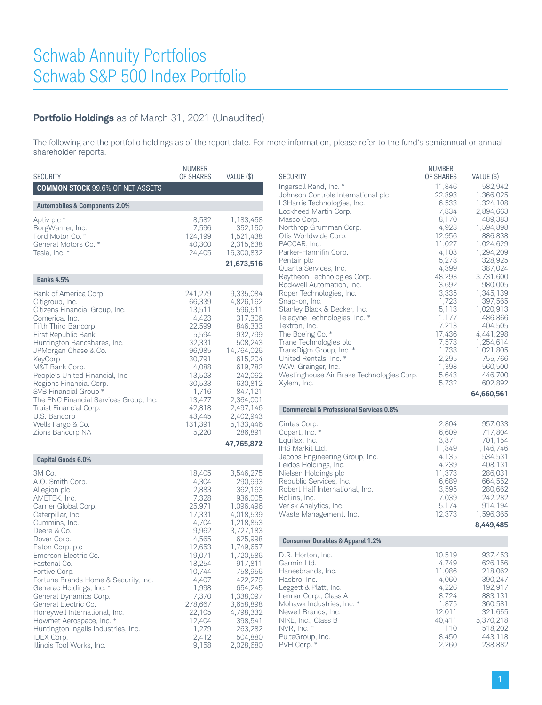## **Portfolio Holdings** as of March 31, 2021 (Unaudited)

The following are the portfolio holdings as of the report date. For more information, please refer to the fund's semiannual or annual shareholder reports.

| <b>SECURITY</b>                                                                                                                                                                                                                                                                                                                                                                                                                                                                                                | NUMBER<br>OF SHARES                                                                                                                                                                                           | VALUE (\$)                                                                                                                                                                                                                                                           |
|----------------------------------------------------------------------------------------------------------------------------------------------------------------------------------------------------------------------------------------------------------------------------------------------------------------------------------------------------------------------------------------------------------------------------------------------------------------------------------------------------------------|---------------------------------------------------------------------------------------------------------------------------------------------------------------------------------------------------------------|----------------------------------------------------------------------------------------------------------------------------------------------------------------------------------------------------------------------------------------------------------------------|
| <b>COMMON STOCK 99.6% OF NET ASSETS</b>                                                                                                                                                                                                                                                                                                                                                                                                                                                                        |                                                                                                                                                                                                               |                                                                                                                                                                                                                                                                      |
| <b>Automobiles &amp; Components 2.0%</b>                                                                                                                                                                                                                                                                                                                                                                                                                                                                       |                                                                                                                                                                                                               |                                                                                                                                                                                                                                                                      |
| Aptiv plc *<br>BorgWarner, Inc.<br>Ford Motor Co. *<br>General Motors Co. *<br>Tesla, Inc. *                                                                                                                                                                                                                                                                                                                                                                                                                   | 8,582<br>7,596<br>124,199<br>40,300<br>24,405                                                                                                                                                                 | 1,183,458<br>352,150<br>1,521,438<br>2,315,638<br>16,300,832<br>21,673,516                                                                                                                                                                                           |
|                                                                                                                                                                                                                                                                                                                                                                                                                                                                                                                |                                                                                                                                                                                                               |                                                                                                                                                                                                                                                                      |
| <b>Banks 4.5%</b>                                                                                                                                                                                                                                                                                                                                                                                                                                                                                              |                                                                                                                                                                                                               |                                                                                                                                                                                                                                                                      |
| Bank of America Corp.<br>Citigroup, Inc.<br>Citizens Financial Group, Inc.<br>Comerica, Inc.<br>Fifth Third Bancorp<br>First Republic Bank<br>Huntington Bancshares, Inc.<br>JPMorgan Chase & Co.<br>KeyCorp<br>M&T Bank Corp.<br>People's United Financial, Inc.<br>Regions Financial Corp.<br>SVB Financial Group *<br>The PNC Financial Services Group, Inc.<br>Truist Financial Corp.<br>U.S. Bancorp<br>Wells Fargo & Co.<br>Zions Bancorp NA                                                             | 241,279<br>66,339<br>13,511<br>4,423<br>22,599<br>5,594<br>32,331<br>96,985<br>30,791<br>4,088<br>13,523<br>30,533<br>1,716<br>13,477<br>42,818<br>43,445<br>131,391<br>5,220                                 | 9,335,084<br>4,826,162<br>596,511<br>317,306<br>846,333<br>932,799<br>508,243<br>14,764,026<br>615,204<br>619,782<br>242,062<br>630,812<br>847,121<br>2,364,001<br>2,497,146<br>2,402,943<br>5,133,446<br>286,891                                                    |
|                                                                                                                                                                                                                                                                                                                                                                                                                                                                                                                |                                                                                                                                                                                                               | 47,765,872                                                                                                                                                                                                                                                           |
| <b>Capital Goods 6.0%</b>                                                                                                                                                                                                                                                                                                                                                                                                                                                                                      |                                                                                                                                                                                                               |                                                                                                                                                                                                                                                                      |
| 3M Co.<br>A.O. Smith Corp.<br>Allegion plc<br>AMETEK, Inc.<br>Carrier Global Corp.<br>Caterpillar, Inc.<br>Cummins, Inc.<br>Deere & Co.<br>Dover Corp.<br>Eaton Corp. plc<br>Emerson Electric Co.<br>Fastenal Co.<br>Fortive Corp.<br>Fortune Brands Home & Security, Inc.<br>Generac Holdings, Inc. *<br>General Dynamics Corp.<br>General Electric Co.<br>Honeywell International, Inc.<br>Howmet Aerospace, Inc. *<br>Huntington Ingalls Industries, Inc.<br><b>IDEX Corp.</b><br>Illinois Tool Works, Inc. | 18,405<br>4,304<br>2,883<br>7,328<br>25,971<br>17,331<br>4,704<br>9,962<br>4,565<br>12,653<br>19,071<br>18,254<br>10,744<br>4,407<br>1,998<br>7,370<br>278,667<br>22,105<br>12,404<br>1,279<br>2,412<br>9,158 | 3,546,275<br>290,993<br>362,163<br>936,005<br>1,096,496<br>4,018,539<br>1,218,853<br>3,727,183<br>625,998<br>1,749,657<br>1,720,586<br>917,811<br>758,956<br>422,279<br>654,245<br>1,338,097<br>3,658,898<br>4,798,332<br>398,541<br>263,282<br>504,880<br>2,028,680 |

|                                                         | <b>NUMBER</b>   |                        |
|---------------------------------------------------------|-----------------|------------------------|
| <b>SECURITY</b>                                         | OF SHARES       | VALUE (\$)             |
| Ingersoll Rand, Inc. *                                  | 11,846          | 582,942                |
| Johnson Controls International plc                      | 22,893          | 1,366,025              |
| L3Harris Technologies, Inc.<br>Lockheed Martin Corp.    | 6,533<br>7,834  | 1,324,108<br>2,894,663 |
| Masco Corp.                                             | 8,170           | 489,383                |
| Northrop Grumman Corp.                                  | 4,928           | 1,594,898              |
| Otis Worldwide Corp.                                    | 12,956          | 886,838                |
| PACCAR, Inc.                                            | 11,027          | 1,024,629              |
| Parker-Hannifin Corp.<br>Pentair plc                    | 4,103<br>5,278  | 1,294,209<br>328,925   |
| Quanta Services, Inc.                                   | 4,399           | 387,024                |
| Raytheon Technologies Corp.                             | 48,293          | 3,731,600              |
| Rockwell Automation, Inc.                               | 3,692           | 980,005                |
| Roper Technologies, Inc.                                | 3,335           | 1,345,139              |
| Snap-on, Inc.<br>Stanley Black & Decker, Inc.           | 1,723<br>5,113  | 397,565<br>1,020,913   |
| Teledyne Technologies, Inc. *                           | 1,177           | 486,866                |
| Textron, Inc.                                           | 7,213           | 404,505                |
| The Boeing Co. *                                        | 17,436          | 4,441,298              |
| Trane Technologies plc                                  | 7,578           | 1,254,614              |
| TransDigm Group, Inc. *<br>United Rentals, Inc. *       | 1,738<br>2,295  | 1,021,805<br>755,766   |
| W.W. Grainger, Inc.                                     | 1,398           | 560,500                |
| Westinghouse Air Brake Technologies Corp.               | 5,643           | 446,700                |
| Xylem, Inc.                                             | 5,732           | 602,892                |
|                                                         |                 | 64,660,561             |
| <b>Commercial &amp; Professional Services 0.8%</b>      |                 |                        |
| Cintas Corp.                                            | 2,804           | 957,033                |
| Copart, Inc. *                                          | 6,609           | 717,804                |
| Equifax, Inc.                                           | 3,871           | 701,154                |
| IHS Markit Ltd.                                         | 11,849          | 1,146,746              |
| Jacobs Engineering Group, Inc.<br>Leidos Holdings, Inc. | 4,135<br>4,239  | 534,531<br>408,131     |
| Nielsen Holdings plc                                    | 11,373          | 286,031                |
| Republic Services, Inc.                                 | 6,689           | 664,552                |
| Robert Half International, Inc.                         | 3,595           | 280,662                |
| Rollins, Inc.                                           | 7,039           | 242,282                |
| Verisk Analytics, Inc.<br>Waste Management, Inc.        | 5,174<br>12,373 | 914,194<br>1,596,365   |
|                                                         |                 | 8,449,485              |
| <b>Consumer Durables &amp; Apparel 1.2%</b>             |                 |                        |
|                                                         |                 |                        |
| D.R. Horton, Inc.<br>Garmin Ltd.                        | 10,519          | 937,453                |
| Hanesbrands, Inc.                                       |                 |                        |
|                                                         | 4,749           | 626,156                |
| Hasbro, Inc.                                            | 11,086          | 218,062                |
| Leggett & Platt, Inc.                                   | 4,060<br>4,226  | 390,247<br>192,917     |
| Lennar Corp., Class A                                   | 8,724           | 883,131                |
| Mohawk Industries, Inc. *                               | 1,875           | 360,581                |
| Newell Brands, Inc.                                     | 12,011          | 321,655                |
| NIKE, Inc., Class B<br>NVR, Inc. *                      | 40,411<br>110   | 5,370,218<br>518,202   |
| PulteGroup, Inc.<br>PVH Corp. *                         | 8,450<br>2,260  | 443,118<br>238,882     |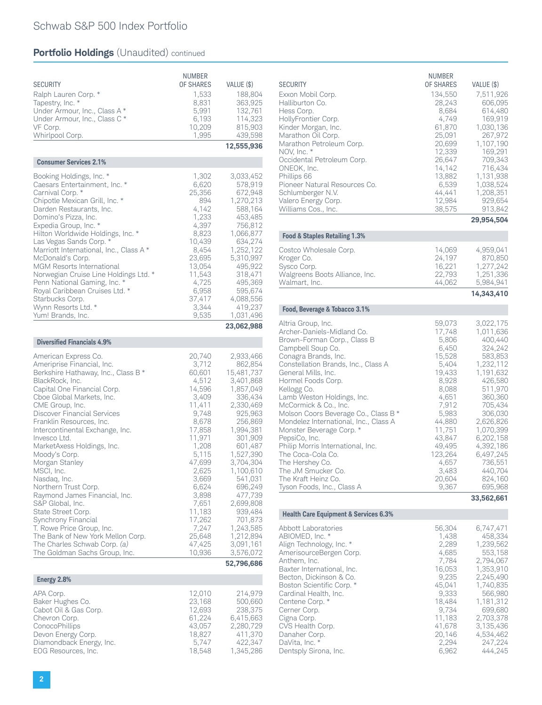| <b>SECURITY</b><br>Ralph Lauren Corp. *<br>Tapestry, Inc. *<br>Under Armour, Inc., Class A *<br>Under Armour, Inc., Class C*<br>VF Corp.<br>Whirlpool Corp.                                                                                                                                                                                                                                                                                                                                                                                                                                                                                                           | <b>NUMBER</b><br>OF SHARES<br>1,533<br>8,831<br>5,991<br>6,193<br>10,209<br>1,995                                                                                                                                                         | VALUE (\$)<br>188,804<br>363,925<br>132,761<br>114,323<br>815,903<br>439,598<br>12,555,936                                                                                                                                                                                                                                 |
|-----------------------------------------------------------------------------------------------------------------------------------------------------------------------------------------------------------------------------------------------------------------------------------------------------------------------------------------------------------------------------------------------------------------------------------------------------------------------------------------------------------------------------------------------------------------------------------------------------------------------------------------------------------------------|-------------------------------------------------------------------------------------------------------------------------------------------------------------------------------------------------------------------------------------------|----------------------------------------------------------------------------------------------------------------------------------------------------------------------------------------------------------------------------------------------------------------------------------------------------------------------------|
| <b>Consumer Services 2.1%</b>                                                                                                                                                                                                                                                                                                                                                                                                                                                                                                                                                                                                                                         |                                                                                                                                                                                                                                           |                                                                                                                                                                                                                                                                                                                            |
| Booking Holdings, Inc. *<br>Caesars Entertainment, Inc. *<br>Carnival Corp. *<br>Chipotle Mexican Grill, Inc. *<br>Darden Restaurants, Inc.<br>Domino's Pizza, Inc.<br>Expedia Group, Inc. *<br>Hilton Worldwide Holdings, Inc. *<br>Las Vegas Sands Corp. *<br>Marriott International, Inc., Class A *<br>McDonald's Corp.<br>MGM Resorts International<br>Norwegian Cruise Line Holdings Ltd. *<br>Penn National Gaming, Inc. *<br>Royal Caribbean Cruises Ltd. *<br>Starbucks Corp.                                                                                                                                                                                | 1,302<br>6,620<br>25,356<br>894<br>4,142<br>1,233<br>4,397<br>8,823<br>10,439<br>8,454<br>23,695<br>13,054<br>11,543<br>4,725<br>6,958<br>37,417                                                                                          | 3,033,452<br>578,919<br>672,948<br>1,270,213<br>588,164<br>453,485<br>756,812<br>1,066,877<br>634,274<br>1,252,122<br>5,310,997<br>495,922<br>318,471<br>495,369<br>595,674<br>4,088,556                                                                                                                                   |
| Wynn Resorts Ltd. *                                                                                                                                                                                                                                                                                                                                                                                                                                                                                                                                                                                                                                                   | 3,344<br>9,535                                                                                                                                                                                                                            | 419,237                                                                                                                                                                                                                                                                                                                    |
| Yum! Brands, Inc.                                                                                                                                                                                                                                                                                                                                                                                                                                                                                                                                                                                                                                                     |                                                                                                                                                                                                                                           | 1,031,496<br>23,062,988                                                                                                                                                                                                                                                                                                    |
| <b>Diversified Financials 4.9%</b>                                                                                                                                                                                                                                                                                                                                                                                                                                                                                                                                                                                                                                    |                                                                                                                                                                                                                                           |                                                                                                                                                                                                                                                                                                                            |
| American Express Co.<br>Ameriprise Financial, Inc.<br>Berkshire Hathaway, Inc., Class B *<br>BlackRock, Inc.<br>Capital One Financial Corp.<br>Cboe Global Markets, Inc.<br>CME Group, Inc.<br>Discover Financial Services<br>Franklin Resources, Inc.<br>Intercontinental Exchange, Inc.<br>Invesco Ltd.<br>MarketAxess Holdings, Inc.<br>Moody's Corp.<br>Morgan Stanley<br>MSCI, Inc.<br>Nasdaq, Inc.<br>Northern Trust Corp.<br>Raymond James Financial, Inc.<br>S&P Global, Inc.<br>State Street Corp.<br>Synchrony Financial<br>T. Rowe Price Group, Inc.<br>The Bank of New York Mellon Corp.<br>The Charles Schwab Corp. (a)<br>The Goldman Sachs Group, Inc. | 20,740<br>3,712<br>60,601<br>4,512<br>14,596<br>3,409<br>11,411<br>9,748<br>8,678<br>17,858<br>11,971<br>1,208<br>5,115<br>47,699<br>2,625<br>3,669<br>6,624<br>3,898<br>7,651<br>11,183<br>17,262<br>7,247<br>25,648<br>47,425<br>10,936 | 2,933,466<br>862,854<br>15,481,737<br>3,401,868<br>1,857,049<br>336,434<br>2,330,469<br>925,963<br>256,869<br>1,994,381<br>301,909<br>601,487<br>1,527,390<br>3,704,304<br>1,100,610<br>541,031<br>696,249<br>477,739<br>2,699,808<br>939,484<br>701,873<br>1,243,585<br>1,212,894<br>3,091,161<br>3,576,072<br>52,796,686 |
| Energy 2.8%                                                                                                                                                                                                                                                                                                                                                                                                                                                                                                                                                                                                                                                           |                                                                                                                                                                                                                                           |                                                                                                                                                                                                                                                                                                                            |
| APA Corp.<br>Baker Hughes Co.<br>Cabot Oil & Gas Corp.<br>Chevron Corp.<br>ConocoPhillips<br>Devon Energy Corp.<br>Diamondback Energy, Inc.<br>EOG Resources, Inc.                                                                                                                                                                                                                                                                                                                                                                                                                                                                                                    | 12,010<br>23,168<br>12,693<br>61,224<br>43,057<br>18,827<br>5,747<br>18,548                                                                                                                                                               | 214,979<br>500,660<br>238,375<br>6,415,663<br>2,280,729<br>411,370<br>422,347<br>1,345,286                                                                                                                                                                                                                                 |

| <b>SECURITY</b><br>Exxon Mobil Corp.<br>Halliburton Co.<br>Hess Corp.<br>HollyFrontier Corp.<br>Kinder Morgan, Inc.<br>Marathon Oil Corp.<br>Marathon Petroleum Corp.<br>NOV, Inc. *<br>Occidental Petroleum Corp.<br>ONEOK, Inc.<br>Phillips 66<br>Pioneer Natural Resources Co.<br>Schlumberger N.V.<br>Valero Energy Corp.<br>Williams Cos., Inc.                                                                                                                                                                                                                         | <b>NUMBER</b><br>OF SHARES<br>134,550<br>28,243<br>8,684<br>4,749<br>61,870<br>25,091<br>20,699<br>12,339<br>26,647<br>14,142<br>13,882<br>6,539<br>44,441<br>12,984<br>38,575                       | VALUE (\$)<br>7,511,926<br>606,095<br>614,480<br>169,919<br>1,030,136<br>267,972<br>1,107,190<br>169,291<br>709,343<br>716,434<br>1,131,938<br>1,038,524<br>1,208,351<br>929,654<br>913,842<br>29,954,504                                             |
|------------------------------------------------------------------------------------------------------------------------------------------------------------------------------------------------------------------------------------------------------------------------------------------------------------------------------------------------------------------------------------------------------------------------------------------------------------------------------------------------------------------------------------------------------------------------------|------------------------------------------------------------------------------------------------------------------------------------------------------------------------------------------------------|-------------------------------------------------------------------------------------------------------------------------------------------------------------------------------------------------------------------------------------------------------|
| Food & Staples Retailing 1.3%                                                                                                                                                                                                                                                                                                                                                                                                                                                                                                                                                |                                                                                                                                                                                                      |                                                                                                                                                                                                                                                       |
| Costco Wholesale Corp.<br>Kroger Co.<br>Sysco Corp.<br>Walgreens Boots Alliance, Inc.<br>Walmart, Inc.                                                                                                                                                                                                                                                                                                                                                                                                                                                                       | 14,069<br>24,197<br>16,221<br>22,793<br>44,062                                                                                                                                                       | 4,959,041<br>870,850<br>1,277,242<br>1,251,336<br>5,984,941<br>14,343,410                                                                                                                                                                             |
| Food, Beverage & Tobacco 3.1%                                                                                                                                                                                                                                                                                                                                                                                                                                                                                                                                                |                                                                                                                                                                                                      |                                                                                                                                                                                                                                                       |
| Altria Group, Inc.<br>Archer-Daniels-Midland Co.<br>Brown-Forman Corp., Class B<br>Campbell Soup Co.<br>Conagra Brands, Inc.<br>Constellation Brands, Inc., Class A<br>General Mills, Inc.<br>Hormel Foods Corp.<br>Kellogg Co.<br>Lamb Weston Holdings, Inc.<br>McCormick & Co., Inc.<br>Molson Coors Beverage Co., Class B *<br>Mondelez International, Inc., Class A<br>Monster Beverage Corp. *<br>PepsiCo, Inc.<br>Philip Morris International, Inc.<br>The Coca-Cola Co.<br>The Hershey Co.<br>The JM Smucker Co.<br>The Kraft Heinz Co.<br>Tyson Foods, Inc., Class A | 59,073<br>17,748<br>5,806<br>6,450<br>15,528<br>5,404<br>19,433<br>8,928<br>8,088<br>4,651<br>7,912<br>5,983<br>44,880<br>11,751<br>43,847<br>49,495<br>123,264<br>4,657<br>3,483<br>20,604<br>9,367 | 3,022,175<br>1,011,636<br>400,440<br>324,242<br>583,853<br>1,232,112<br>1,191,632<br>426,580<br>511,970<br>360,360<br>705,434<br>306,030<br>2,626,826<br>1,070,399<br>6,202,158<br>4,392,186<br>6,497,245<br>736,551<br>440,704<br>824,160<br>695,968 |
|                                                                                                                                                                                                                                                                                                                                                                                                                                                                                                                                                                              |                                                                                                                                                                                                      | 33,562,661                                                                                                                                                                                                                                            |
| <b>Health Care Equipment &amp; Services 6.3%</b>                                                                                                                                                                                                                                                                                                                                                                                                                                                                                                                             |                                                                                                                                                                                                      |                                                                                                                                                                                                                                                       |

| <b>Abbott Laboratories</b> | 56.304 | 6,747,471 |
|----------------------------|--------|-----------|
| ABIOMED, Inc. *            | 1.438  | 458.334   |
| Align Technology, Inc. *   | 2.289  | 1.239.562 |
| AmerisourceBergen Corp.    | 4.685  | 553.158   |
| Anthem, Inc.               | 7.784  | 2.794,067 |
| Baxter International, Inc. | 16.053 | 1.353.910 |
| Becton, Dickinson & Co.    | 9.235  | 2.245.490 |
| Boston Scientific Corp. *  | 45.041 | 1.740.835 |
| Cardinal Health, Inc.      | 9.333  | 566.980   |
| Centene Corp. *            | 18.484 | 1.181.312 |
| Cerner Corp.               | 9.734  | 699.680   |
| Cigna Corp.                | 11.183 | 2.703.378 |
| CVS Health Corp.           | 41.678 | 3.135.436 |
| Danaher Corp.              | 20.146 | 4.534,462 |
| DaVita, Inc. *             | 2.294  | 247.224   |
| Dentsply Sirona, Inc.      | 6,962  | 444.245   |
|                            |        |           |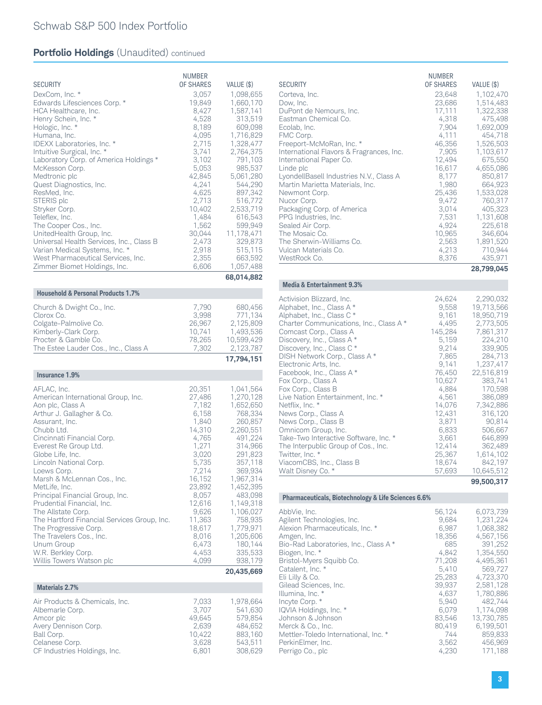| <b>SECURITY</b><br>DexCom, Inc. *<br>Edwards Lifesciences Corp. *<br>HCA Healthcare, Inc.<br>Henry Schein, Inc. *<br>Hologic, Inc. *<br>Humana, Inc.<br>IDEXX Laboratories, Inc. *<br>Intuitive Surgical, Inc. *<br>Laboratory Corp. of America Holdings *<br>McKesson Corp.<br>Medtronic plc<br>Quest Diagnostics, Inc.<br>ResMed, Inc.<br>STERIS plc<br>Stryker Corp.<br>Teleflex, Inc.<br>The Cooper Cos., Inc.<br>UnitedHealth Group, Inc.<br>Universal Health Services, Inc., Class B<br>Varian Medical Systems, Inc. *<br>West Pharmaceutical Services, Inc.<br>Zimmer Biomet Holdings, Inc. | NUMBER<br>OF SHARES<br>3,057<br>19,849<br>8,427<br>4,528<br>8,189<br>4,095<br>2,715<br>3,741<br>3,102<br>5,053<br>42,845<br>4,241<br>4,625<br>2,713<br>10,402<br>1,484<br>1,562<br>30,044<br>2,473<br>2,918<br>2,355<br>6,606 | VALUE (\$)<br>1,098,655<br>1,660,170<br>1,587,141<br>313,519<br>609,098<br>1,716,829<br>1,328,477<br>2,764,375<br>791,103<br>985,537<br>5,061,280<br>544,290<br>897,342<br>516,772<br>2,533,719<br>616,543<br>599,949<br>11,178,471<br>329,873<br>515,115<br>663,592<br>1,057,488 |
|----------------------------------------------------------------------------------------------------------------------------------------------------------------------------------------------------------------------------------------------------------------------------------------------------------------------------------------------------------------------------------------------------------------------------------------------------------------------------------------------------------------------------------------------------------------------------------------------------|-------------------------------------------------------------------------------------------------------------------------------------------------------------------------------------------------------------------------------|-----------------------------------------------------------------------------------------------------------------------------------------------------------------------------------------------------------------------------------------------------------------------------------|
|                                                                                                                                                                                                                                                                                                                                                                                                                                                                                                                                                                                                    |                                                                                                                                                                                                                               | 68,014,882                                                                                                                                                                                                                                                                        |
| <b>Household &amp; Personal Products 1.7%</b>                                                                                                                                                                                                                                                                                                                                                                                                                                                                                                                                                      |                                                                                                                                                                                                                               |                                                                                                                                                                                                                                                                                   |
| Church & Dwight Co., Inc.<br>Clorox Co.<br>Colgate-Palmolive Co.<br>Kimberly-Clark Corp.<br>Procter & Gamble Co.<br>The Estee Lauder Cos., Inc., Class A                                                                                                                                                                                                                                                                                                                                                                                                                                           | 7,790<br>3,998<br>26,967<br>10,741<br>78,265<br>7,302                                                                                                                                                                         | 680,456<br>771,134<br>2,125,809<br>1,493,536<br>10,599,429<br>2,123,787                                                                                                                                                                                                           |
|                                                                                                                                                                                                                                                                                                                                                                                                                                                                                                                                                                                                    |                                                                                                                                                                                                                               |                                                                                                                                                                                                                                                                                   |
| Insurance 1.9%                                                                                                                                                                                                                                                                                                                                                                                                                                                                                                                                                                                     |                                                                                                                                                                                                                               | 17,794,151                                                                                                                                                                                                                                                                        |
| AFLAC, Inc.<br>American International Group, Inc.<br>Aon plc, Class A<br>Arthur J. Gallagher & Co.<br>Assurant, Inc.<br>Chubb Ltd.<br>Cincinnati Financial Corp.<br>Everest Re Group Ltd.<br>Globe Life, Inc.<br>Lincoln National Corp.<br>Loews Corp.<br>Marsh & McLennan Cos., Inc.<br>MetLife, Inc.<br>Principal Financial Group, Inc.<br>Prudential Financial, Inc.<br>The Allstate Corp.<br>The Hartford Financial Services Group, Inc.<br>The Progressive Corp.<br>The Travelers Cos., Inc.<br>Unum Group<br>W.R. Berkley Corp.<br>Willis Towers Watson plc                                  | 20,351<br>27,486<br>7,182<br>6,158<br>1,840<br>14,310<br>4,765<br>1,271<br>3,020<br>5,735<br>7,214<br>16,152<br>23,892<br>8,057<br>12,616<br>9,626<br>11,363<br>18,617<br>8,016<br>6,473<br>4,453<br>4,099                    | 1,041,564<br>1,270,128<br>1,652,650<br>768,334<br>260,857<br>2,260,551<br>491,224<br>314,966<br>291,823<br>357,118<br>369,934<br>1,967,314<br>1,452,395<br>483,098<br>1,149,318<br>1,106,027<br>758,935<br>1,779,971<br>1,205,606<br>180,144<br>335,533<br>938,179                |
| <b>Materials 2.7%</b>                                                                                                                                                                                                                                                                                                                                                                                                                                                                                                                                                                              |                                                                                                                                                                                                                               | 20,435,669                                                                                                                                                                                                                                                                        |

CF Industries Holdings, Inc.

Celanese Corp.<br>
CF Industries Holdings, Inc.<br>
CF Industries Holdings, Inc.<br>
3,801 308,629

| <b>SECURITY</b><br>Corteva, Inc.<br>Dow, Inc.<br>DuPont de Nemours, Inc.<br>Eastman Chemical Co.<br>Ecolab, Inc.<br>FMC Corp.<br>Freeport-McMoRan, Inc. *<br>International Flavors & Fragrances, Inc.<br>International Paper Co.<br>Linde plc<br>LyondellBasell Industries N.V., Class A<br>Martin Marietta Materials, Inc.<br>Newmont Corp.<br>Nucor Corp.<br>Packaging Corp. of America<br>PPG Industries, Inc.<br>Sealed Air Corp.<br>The Mosaic Co.<br>The Sherwin-Williams Co.<br>Vulcan Materials Co. | <b>NUMBER</b><br><b>OF SHARES</b><br>23,648<br>23,686<br>17,111<br>4,318<br>7,904<br>4,111<br>46,356<br>7,905<br>12,494<br>16,617<br>8,177<br>1.980<br>25,436<br>9.472<br>3.014<br>7.531<br>4,924<br>10,965<br>2,563<br>4,213 | VALUE (\$)<br>1,102,470<br>1,514,483<br>1,322,338<br>475,498<br>1,692,009<br>454,718<br>1,526,503<br>1,103,617<br>675,550<br>4,655,086<br>850,817<br>664.923<br>1,533,028<br>760,317<br>405,323<br>1.131.608<br>225,618<br>346,604<br>1,891,520<br>710.944 |
|-------------------------------------------------------------------------------------------------------------------------------------------------------------------------------------------------------------------------------------------------------------------------------------------------------------------------------------------------------------------------------------------------------------------------------------------------------------------------------------------------------------|-------------------------------------------------------------------------------------------------------------------------------------------------------------------------------------------------------------------------------|------------------------------------------------------------------------------------------------------------------------------------------------------------------------------------------------------------------------------------------------------------|
| WestRock Co.                                                                                                                                                                                                                                                                                                                                                                                                                                                                                                | 8,376                                                                                                                                                                                                                         | 435,971                                                                                                                                                                                                                                                    |
|                                                                                                                                                                                                                                                                                                                                                                                                                                                                                                             |                                                                                                                                                                                                                               | 28,799,045                                                                                                                                                                                                                                                 |

#### **Media & Entertainment 9.3%**

| Activision Blizzard, Inc.               | 24,624  | 2,290,032  |
|-----------------------------------------|---------|------------|
| Alphabet, Inc., Class A*                | 9,558   | 19.713.566 |
| Alphabet, Inc., Class C *               | 9.161   | 18,950,719 |
| Charter Communications, Inc., Class A * | 4.495   | 2.773.505  |
| Comcast Corp., Class A                  | 145,284 | 7,861,317  |
| Discovery, Inc., Class A*               | 5,159   | 224,210    |
| Discovery, Inc., Class C *              | 9,214   | 339,905    |
| DISH Network Corp., Class A*            | 7,865   | 284,713    |
| Electronic Arts, Inc.                   | 9.141   | 1.237.417  |
| Facebook, Inc., Class A *               | 76,450  | 22,516,819 |
| Fox Corp., Class A                      | 10,627  | 383,741    |
| Fox Corp., Class B                      | 4,884   | 170,598    |
| Live Nation Entertainment, Inc. *       | 4,561   | 386,089    |
| Netflix, Inc. *                         | 14.076  | 7.342.886  |
| News Corp., Class A                     | 12.431  | 316.120    |
| News Corp., Class B                     | 3,871   | 90,814     |
| Omnicom Group, Inc.                     | 6,833   | 506,667    |
| Take-Two Interactive Software, Inc. *   | 3,661   | 646,899    |
| The Interpublic Group of Cos., Inc.     | 12,414  | 362,489    |
| Twitter, Inc. *                         | 25,367  | 1,614,102  |
| ViacomCBS, Inc., Class B                | 18,674  | 842.197    |
| Walt Disney Co. *                       | 57,693  | 10,645,512 |
|                                         |         | 99,500,317 |

**Pharmaceuticals, Biotechnology & Life Sciences 6.6%**

| AbbVie, Inc.                          | 56.124 | 6.073.739  |
|---------------------------------------|--------|------------|
| Agilent Technologies, Inc.            | 9.684  | 1.231.224  |
| Alexion Pharmaceuticals, Inc. *       | 6.987  | 1.068.382  |
| Amgen, Inc.                           | 18,356 | 4,567,156  |
| Bio-Rad Laboratories, Inc., Class A * | 685    | 391.252    |
| Biogen, Inc. *                        | 4.842  | 1,354,550  |
| Bristol-Myers Squibb Co.              | 71,208 | 4,495,361  |
| Catalent, Inc. *                      | 5.410  | 569.727    |
| Eli Lilly & Co.                       | 25,283 | 4.723.370  |
| Gilead Sciences, Inc.                 | 39.937 | 2.581.128  |
| Illumina, Inc. *                      | 4.637  | 1.780.886  |
| Incyte Corp. *                        | 5.940  | 482.744    |
| IQVIA Holdings, Inc. *                | 6.079  | 1.174.098  |
| Johnson & Johnson                     | 83.546 | 13,730,785 |
| Merck & Co., Inc.                     | 80,419 | 6.199.501  |
| Mettler-Toledo International, Inc. *  | 744    | 859.833    |
| PerkinElmer, Inc.                     | 3.562  | 456,969    |
| Perrigo Co., plc                      | 4,230  | 171.188    |
|                                       |        |            |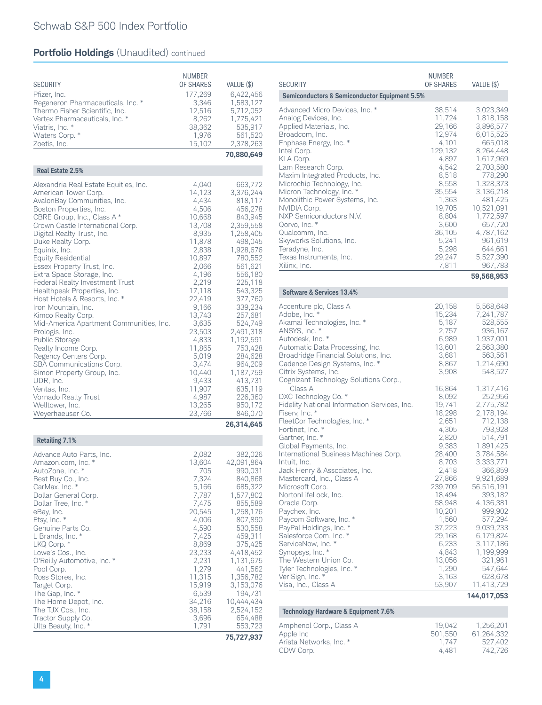# Schwab S&P 500 Index Portfolio

## **Portfolio Holdings** (Unaudited) continued

| <b>SECURITY</b><br>Pfizer, Inc.<br>Regeneron Pharmaceuticals, Inc. *<br>Thermo Fisher Scientific, Inc.<br>Vertex Pharmaceuticals, Inc. *<br>Viatris, Inc. *<br>Waters Corp. *<br>Zoetis, Inc.                                                                                                                                                                                                                                                                                                                                                                                                                                                                                                                                                                                               | <b>NUMBER</b><br>OF SHARES<br>177,269<br>3,346<br>12,516<br>8,262<br>38,362<br>1,976<br>15,102                                                                                                                                                                                  | VALUE (\$)<br>6,422,456<br>1,583,127<br>5,712,052<br>1,775,421<br>535,917<br>561,520<br>2,378,263<br>70,880,649                                                                                                                                                                                                                           |
|---------------------------------------------------------------------------------------------------------------------------------------------------------------------------------------------------------------------------------------------------------------------------------------------------------------------------------------------------------------------------------------------------------------------------------------------------------------------------------------------------------------------------------------------------------------------------------------------------------------------------------------------------------------------------------------------------------------------------------------------------------------------------------------------|---------------------------------------------------------------------------------------------------------------------------------------------------------------------------------------------------------------------------------------------------------------------------------|-------------------------------------------------------------------------------------------------------------------------------------------------------------------------------------------------------------------------------------------------------------------------------------------------------------------------------------------|
| Real Estate 2.5%                                                                                                                                                                                                                                                                                                                                                                                                                                                                                                                                                                                                                                                                                                                                                                            |                                                                                                                                                                                                                                                                                 |                                                                                                                                                                                                                                                                                                                                           |
| Alexandria Real Estate Equities, Inc.<br>American Tower Corp.<br>AvalonBay Communities, Inc.<br>Boston Properties, Inc.<br>CBRE Group, Inc., Class A *<br>Crown Castle International Corp.<br>Digital Realty Trust, Inc.<br>Duke Realty Corp.<br>Equinix, Inc.<br><b>Equity Residential</b><br>Essex Property Trust, Inc.<br>Extra Space Storage, Inc.<br>Federal Realty Investment Trust<br>Healthpeak Properties, Inc.<br>Host Hotels & Resorts, Inc. *<br>Iron Mountain, Inc.<br>Kimco Realty Corp.<br>Mid-America Apartment Communities, Inc.<br>Prologis, Inc.<br>Public Storage<br>Realty Income Corp.<br>Regency Centers Corp.<br>SBA Communications Corp.<br>Simon Property Group, Inc.<br>UDR, Inc.<br>Ventas, Inc.<br>Vornado Realty Trust<br>Welltower, Inc.<br>Weyerhaeuser Co. | 4,040<br>14,123<br>4,434<br>4,506<br>10,668<br>13,708<br>8,935<br>11,878<br>2,838<br>10,897<br>2,066<br>4,196<br>2,219<br>17,118<br>22,419<br>9,166<br>13,743<br>3,635<br>23,503<br>4,833<br>11,865<br>5,019<br>3,474<br>10,440<br>9,433<br>11,907<br>4,987<br>13,265<br>23,766 | 663,772<br>3,376,244<br>818,117<br>456,278<br>843,945<br>2,359,558<br>1,258,405<br>498,045<br>1,928,676<br>780,552<br>561,621<br>556,180<br>225,118<br>543,325<br>377,760<br>339,234<br>257,681<br>524,749<br>2,491,318<br>1,192,591<br>753,428<br>284,628<br>964,209<br>1,187,759<br>413,731<br>635,119<br>226,360<br>950,172<br>846,070 |
|                                                                                                                                                                                                                                                                                                                                                                                                                                                                                                                                                                                                                                                                                                                                                                                             |                                                                                                                                                                                                                                                                                 | 26,314,645                                                                                                                                                                                                                                                                                                                                |
| <b>Retailing 7.1%</b>                                                                                                                                                                                                                                                                                                                                                                                                                                                                                                                                                                                                                                                                                                                                                                       |                                                                                                                                                                                                                                                                                 |                                                                                                                                                                                                                                                                                                                                           |
| Advance Auto Parts, Inc.<br>Amazon.com, Inc. *<br>AutoZone, Inc. *<br>Best Buy Co., Inc.<br>CarMax, Inc. *<br>Dollar General Corp.<br>Dollar Tree, Inc. *<br>eBay, Inc.<br>Etsy, Inc. *<br>Genuine Parts Co.<br>L Brands, Inc. *<br>LKQ Corp. *<br>Lowe's Cos., Inc.<br>O'Reilly Automotive, Inc. *<br>Pool Corp.<br>Ross Stores, Inc.<br>Target Corp.<br>The Gap, Inc. *<br>The Home Depot, Inc.<br>The TJX Cos., Inc.<br>Tractor Supply Co.<br>Ulta Beauty, Inc. *                                                                                                                                                                                                                                                                                                                        | 2,082<br>13,604<br>705<br>7,324<br>5,166<br>7,787<br>7,475<br>20,545<br>4,006<br>4,590<br>7,425<br>8,869<br>23,233<br>2,231<br>1,279<br>11,315<br>15,919<br>6,539<br>34,216<br>38,158<br>3,696<br>1,791                                                                         | 382,026<br>42,091,864<br>990,031<br>840,868<br>685,322<br>1,577,802<br>855,589<br>1,258,176<br>807,890<br>530,558<br>459,311<br>375,425<br>4,418,452<br>1,131,675<br>441,562<br>1,356,782<br>3,153,076<br>194,731<br>10,444,434<br>2,524,152<br>654,488<br>553,723<br>75,727,937                                                          |

| <b>SECURITY</b>                                                                                                                                                                                                                                                                                                                                                                                                                                                                                                                                                                                                                                                            | <b>NUMBER</b><br>OF SHARES                                                                                                                                                                                                                  | VALUE (\$)                                                                                                                                                                                                                                                                                                    |
|----------------------------------------------------------------------------------------------------------------------------------------------------------------------------------------------------------------------------------------------------------------------------------------------------------------------------------------------------------------------------------------------------------------------------------------------------------------------------------------------------------------------------------------------------------------------------------------------------------------------------------------------------------------------------|---------------------------------------------------------------------------------------------------------------------------------------------------------------------------------------------------------------------------------------------|---------------------------------------------------------------------------------------------------------------------------------------------------------------------------------------------------------------------------------------------------------------------------------------------------------------|
| <b>Semiconductors &amp; Semiconductor Equipment 5.5%</b>                                                                                                                                                                                                                                                                                                                                                                                                                                                                                                                                                                                                                   |                                                                                                                                                                                                                                             |                                                                                                                                                                                                                                                                                                               |
| Advanced Micro Devices, Inc. *<br>Analog Devices, Inc.<br>Applied Materials, Inc.<br>Broadcom, Inc.<br>Enphase Energy, Inc. *<br>Intel Corp.<br>KLA Corp.<br>Lam Research Corp.<br>Maxim Integrated Products, Inc.<br>Microchip Technology, Inc.<br>Micron Technology, Inc. *<br>Monolithic Power Systems, Inc.<br>NVIDIA Corp.<br>NXP Semiconductors N.V.<br>Qorvo, Inc. *<br>Qualcomm, Inc.<br>Skyworks Solutions, Inc.<br>Teradyne, Inc.                                                                                                                                                                                                                                | 38,514<br>11,724<br>29,166<br>12,974<br>4,101<br>129,132<br>4,897<br>4,542<br>8,518<br>8,558<br>35,554<br>1,363<br>19,705<br>8,804<br>3,600<br>36,105<br>5,241<br>5,298                                                                     | 3,023,349<br>1,818,158<br>3,896,577<br>6,015,525<br>665,018<br>8,264,448<br>1,617,969<br>2,703,580<br>778,290<br>1,328,373<br>3,136,218<br>481,425<br>10,521,091<br>1,772,597<br>657,720<br>4,787,162<br>961,619<br>644,661                                                                                   |
| Texas Instruments, Inc.<br>Xilinx, Inc.                                                                                                                                                                                                                                                                                                                                                                                                                                                                                                                                                                                                                                    | 29,247<br>7,811                                                                                                                                                                                                                             | 5,527,390<br>967,783                                                                                                                                                                                                                                                                                          |
|                                                                                                                                                                                                                                                                                                                                                                                                                                                                                                                                                                                                                                                                            |                                                                                                                                                                                                                                             | 59,568,953                                                                                                                                                                                                                                                                                                    |
| Software & Services 13.4%                                                                                                                                                                                                                                                                                                                                                                                                                                                                                                                                                                                                                                                  |                                                                                                                                                                                                                                             |                                                                                                                                                                                                                                                                                                               |
| Accenture plc, Class A<br>Adobe, Inc. *<br>Akamai Technologies, Inc. *<br>ANSYS, Inc. *<br>Autodesk, Inc. *<br>Automatic Data Processing, Inc.<br>Broadridge Financial Solutions, Inc.<br>Cadence Design Systems, Inc. *<br>Citrix Systems, Inc.                                                                                                                                                                                                                                                                                                                                                                                                                           | 20,158<br>15,234<br>5,187<br>2,757<br>6,989<br>13,601<br>3,681<br>8,867<br>3,908                                                                                                                                                            | 5,568,648<br>7,241,787<br>528,555<br>936,167<br>1,937,001<br>2,563,380<br>563,561<br>1,214,690<br>548,527                                                                                                                                                                                                     |
| Cognizant Technology Solutions Corp.,<br>Class A<br>DXC Technology Co. *<br>Fidelity National Information Services, Inc.<br>Fiserv, Inc. *<br>FleetCor Technologies, Inc. *<br>Fortinet, Inc. *<br>Gartner, Inc. *<br>Global Payments, Inc.<br>International Business Machines Corp.<br>Intuit, Inc.<br>Jack Henry & Associates, Inc.<br>Mastercard, Inc., Class A<br>Microsoft Corp.<br>NortonLifeLock, Inc.<br>Oracle Corp.<br>Paychex, Inc.<br>Paycom Software, Inc. *<br>PayPal Holdings, Inc. *<br>Salesforce Com, Inc. *<br>ServiceNow, Inc. *<br>Synopsys, Inc. *<br>The Western Union Co.<br>Tyler Technologies, Inc. *<br>VeriSign, Inc. *<br>Visa, Inc., Class A | 16,864<br>8,092<br>19,741<br>18,298<br>2,651<br>4,305<br>2,820<br>9,383<br>28,400<br>8,703<br>2,418<br>27,866<br>239,709<br>18,494<br>58,948<br>10,201<br>1,560<br>37,223<br>29,168<br>6,233<br>4,843<br>13,056<br>1,290<br>3,163<br>53,907 | 1,317,416<br>252,956<br>2,775,782<br>2,178,194<br>712,138<br>793,928<br>514,791<br>1,891,425<br>3,784,584<br>3,333,771<br>366,859<br>9,921,689<br>56,516,191<br>393,182<br>4,136,381<br>999,902<br>577,294<br>9,039,233<br>6,179,824<br>3,117,186<br>1,199,999<br>321,961<br>547,644<br>628,678<br>11,413,729 |

| Technology Hardware & Equipment 7.6% |         |            |
|--------------------------------------|---------|------------|
| Amphenol Corp., Class A              | 19.042  | 1.256.201  |
| Apple Inc                            | 501.550 | 61.264.332 |
| Arista Networks, Inc. *              | 1.747   | 527.402    |
| CDW Corp.                            | 4.481   | 742.726    |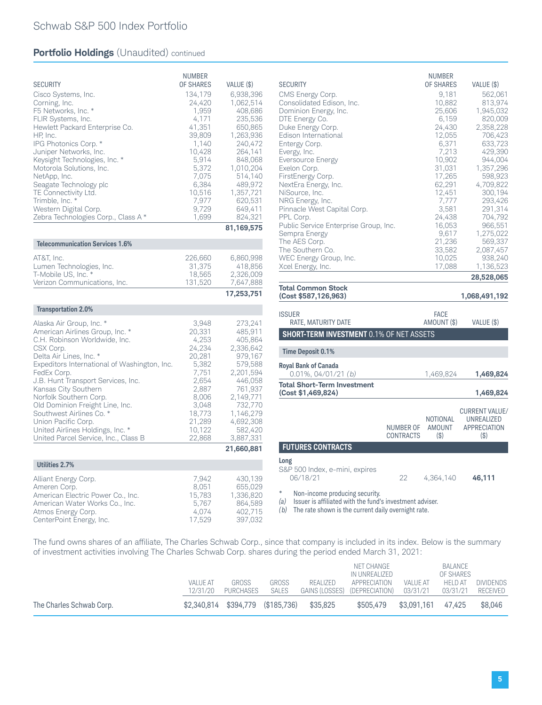|                                                             | <b>NUMBER</b>   |                         |
|-------------------------------------------------------------|-----------------|-------------------------|
| <b>SECURITY</b>                                             | OF SHARES       | VALUE (\$)              |
| Cisco Systems, Inc.                                         | 134,179         | 6,938,396               |
| Corning, Inc.<br>F5 Networks, Inc. *                        | 24,420<br>1,959 | 1,062,514<br>408,686    |
| FLIR Systems, Inc.                                          | 4,171           | 235,536                 |
| Hewlett Packard Enterprise Co.                              | 41,351          | 650,865                 |
| HP, Inc.                                                    | 39,809          | 1,263,936               |
| IPG Photonics Corp. *                                       | 1,140           | 240,472                 |
| Juniper Networks, Inc.<br>Keysight Technologies, Inc. *     | 10,428<br>5,914 | 264,141<br>848,068      |
| Motorola Solutions, Inc.                                    | 5,372           | 1,010,204               |
| NetApp, Inc.                                                | 7,075           | 514,140                 |
| Seagate Technology plc                                      | 6,384           | 489,972                 |
| TE Connectivity Ltd.<br>Trimble, Inc. *                     | 10,516<br>7,977 | 1,357,721<br>620,531    |
| Western Digital Corp.                                       | 9,729           | 649,411                 |
| Zebra Technologies Corp., Class A*                          | 1,699           | 824,321                 |
|                                                             |                 | 81,169,575              |
| <b>Telecommunication Services 1.6%</b>                      |                 |                         |
| AT&T, Inc.                                                  | 226,660         | 6,860,998               |
| Lumen Technologies, Inc.                                    | 31,375          | 418,856                 |
| T-Mobile US, Inc. *                                         | 18,565          | 2,326,009               |
| Verizon Communications, Inc.                                | 131,520         | 7,647,888               |
|                                                             |                 |                         |
|                                                             |                 | 17,253,751              |
| <b>Transportation 2.0%</b>                                  |                 |                         |
|                                                             |                 |                         |
| Alaska Air Group, Inc. *<br>American Airlines Group, Inc. * | 3,948<br>20,331 | 273,241<br>485,911      |
| C.H. Robinson Worldwide, Inc.                               | 4,253           | 405,864                 |
| CSX Corp.                                                   | 24,234          | 2,336,642               |
| Delta Air Lines, Inc. *                                     | 20,281          | 979,167                 |
| Expeditors International of Washington, Inc.<br>FedEx Corp. | 5,382<br>7,751  | 579,588<br>2,201,594    |
| J.B. Hunt Transport Services, Inc.                          | 2,654           | 446,058                 |
| Kansas City Southern                                        | 2,887           | 761,937                 |
| Norfolk Southern Corp.                                      | 8,006           | 2,149,771               |
| Old Dominion Freight Line, Inc.<br>Southwest Airlines Co. * | 3,048<br>18,773 | 732,770<br>1,146,279    |
| Union Pacific Corp.                                         | 21,289          | 4,692,308               |
| United Airlines Holdings, Inc. *                            | 10,122          | 582,420                 |
| United Parcel Service, Inc., Class B                        | 22,868          | 3,887,331<br>21,660,881 |
|                                                             |                 |                         |
| Utilities 2.7%                                              |                 |                         |
| Alliant Energy Corp.                                        | 7,942           | 430,139                 |
| Ameren Corp.<br>American Electric Power Co., Inc.           | 8,051<br>15,783 | 655,029<br>1,336,820    |

Atmos Energy Corp. 4,074 402,715 CenterPoint Energy, Inc. 17,529 397,032

| <b>SECURITY</b><br>CMS Energy Corp.<br>Consolidated Edison, Inc.<br>Dominion Energy, Inc.                                          |                                      | <b>NUMBER</b><br><b>OF SHARES</b><br>9,181<br>10,882<br>25,606 | VALUE (\$)<br>562,061<br>813,974<br>1,945,032                         |
|------------------------------------------------------------------------------------------------------------------------------------|--------------------------------------|----------------------------------------------------------------|-----------------------------------------------------------------------|
| DTE Energy Co.<br>Duke Energy Corp.<br>Edison International<br>Entergy Corp.<br>Evergy, Inc.<br>Eversource Energy                  |                                      | 6,159<br>24,430<br>12,055<br>6,371<br>7,213<br>10,902          | 820,009<br>2,358,228<br>706,423<br>633,723<br>429,390<br>944,004      |
| Exelon Corp.<br>FirstEnergy Corp.<br>NextEra Energy, Inc.<br>NiSource, Inc.<br>NRG Energy, Inc.<br>Pinnacle West Capital Corp.     |                                      | 31,031<br>17,265<br>62,291<br>12,451<br>7,777<br>3,581         | 1,357,296<br>598,923<br>4,709,822<br>300,194<br>293,426<br>291,314    |
| PPL Corp.<br>Public Service Enterprise Group, Inc.<br>Sempra Energy<br>The AES Corp.<br>The Southern Co.<br>WEC Energy Group, Inc. |                                      | 24,438<br>16,053<br>9,617<br>21,236<br>33,582<br>10,025        | 704,792<br>966,551<br>1,275,022<br>569,337<br>2,087,457<br>938,240    |
| Xcel Energy, Inc.                                                                                                                  |                                      | 17,088                                                         | 1,136,523<br>28,528,065                                               |
| <b>Total Common Stock</b><br>(Cost \$587,126,963)                                                                                  |                                      |                                                                | 1,068,491,192                                                         |
| <b>ISSUER</b><br>RATE, MATURITY DATE                                                                                               |                                      | <b>FACE</b><br>AMOUNT (\$)                                     | VALUE (\$)                                                            |
| <b>SHORT-TERM INVESTMENT 0.1% OF NET ASSETS</b>                                                                                    |                                      |                                                                |                                                                       |
| <b>Time Deposit 0.1%</b>                                                                                                           |                                      |                                                                |                                                                       |
| <b>Royal Bank of Canada</b><br>0.01%, 04/01/21 <i>(b)</i>                                                                          |                                      | 1,469,824                                                      | 1,469,824                                                             |
| <b>Total Short-Term Investment</b><br>(Cost \$1,469,824)                                                                           |                                      |                                                                | 1,469,824                                                             |
|                                                                                                                                    | <b>NUMBER OF</b><br><b>CONTRACTS</b> | <b>NOTIONAL</b><br><b>AMOUNT</b><br>(3)                        | <b>CURRENT VALUE/</b><br>UNREALIZED<br><b>APPRECIATION</b><br>$($ \$) |
| <b>FUTURES CONTRACTS</b>                                                                                                           |                                      |                                                                |                                                                       |

| Long |  |  |
|------|--|--|

S&P 500 Index, e-mini, expires<br>06/18/21

06/18/21 22 4,364,140 **46,111**

*\** Non-income producing security.

*(a)* Issuer is affiliated with the fund's investment adviser.

*(b)* The rate shown is the current daily overnight rate.

The fund owns shares of an affiliate, The Charles Schwab Corp., since that company is included in its index. Below is the summary of investment activities involving The Charles Schwab Corp. shares during the period ended March 31, 2021:

| The Charles Schwab Corp. | \$2,340,814 \$394,779 (\$185,736) |                           |                       | \$35.825                                  | \$505.479                                   | \$3.091.161                 | 47.425                                      | \$8,046                      |
|--------------------------|-----------------------------------|---------------------------|-----------------------|-------------------------------------------|---------------------------------------------|-----------------------------|---------------------------------------------|------------------------------|
|                          | VALUE AT<br>12/31/20              | <b>GROSS</b><br>PURCHASES | <b>GROSS</b><br>SALES | REALIZED<br>GAINS (LOSSES) (DEPRECIATION) | NET CHANGE<br>IN UNREALIZED<br>APPRECIATION | <b>VALUE AT</b><br>03/31/21 | BALANCE<br>OF SHARES<br>HELD AT<br>03/31/21 | <b>DIVIDENDS</b><br>RECEIVED |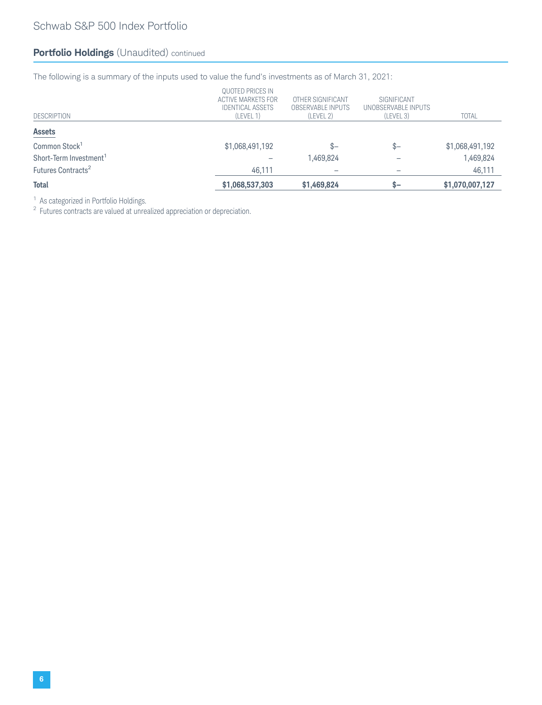The following is a summary of the inputs used to value the fund's investments as of March 31, 2021:

| <b>Total</b>                       | \$1,068,537,303                                                                       | \$1,469,824                                         | \$—                                             | \$1,070,007,127 |
|------------------------------------|---------------------------------------------------------------------------------------|-----------------------------------------------------|-------------------------------------------------|-----------------|
| Futures Contracts <sup>2</sup>     | 46.111                                                                                |                                                     |                                                 | 46,111          |
| Short-Term Investment <sup>1</sup> |                                                                                       | 1,469,824                                           |                                                 | 1,469,824       |
| Common Stock <sup>1</sup>          | \$1,068,491,192                                                                       | \$–                                                 | $S-$                                            | \$1,068,491,192 |
| <b>Assets</b>                      |                                                                                       |                                                     |                                                 |                 |
| DESCRIPTION                        | QUOTED PRICES IN<br><b>ACTIVE MARKETS FOR</b><br><b>IDENTICAL ASSETS</b><br>(LEVEL 1) | OTHER SIGNIFICANT<br>OBSERVABLE INPUTS<br>(LEVEL 2) | SIGNIFICANT<br>UNOBSERVABLE INPUTS<br>(LEVEL 3) | <b>TOTAL</b>    |

<sup>1</sup> As categorized in Portfolio Holdings.

<sup>2</sup> Futures contracts are valued at unrealized appreciation or depreciation.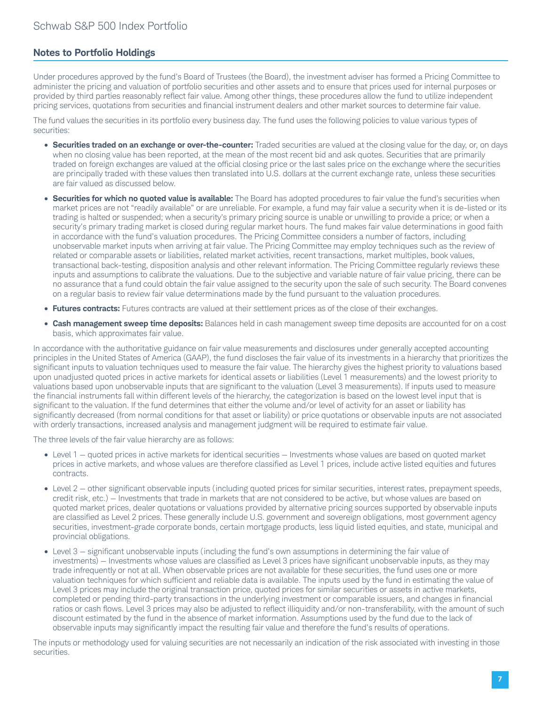### **Notes to Portfolio Holdings**

Under procedures approved by the fund's Board of Trustees (the Board), the investment adviser has formed a Pricing Committee to administer the pricing and valuation of portfolio securities and other assets and to ensure that prices used for internal purposes or provided by third parties reasonably reflect fair value. Among other things, these procedures allow the fund to utilize independent pricing services, quotations from securities and financial instrument dealers and other market sources to determine fair value.

The fund values the securities in its portfolio every business day. The fund uses the following policies to value various types of securities:

- **Securities traded on an exchange or over-the-counter:** Traded securities are valued at the closing value for the day, or, on days when no closing value has been reported, at the mean of the most recent bid and ask quotes. Securities that are primarily traded on foreign exchanges are valued at the official closing price or the last sales price on the exchange where the securities are principally traded with these values then translated into U.S. dollars at the current exchange rate, unless these securities are fair valued as discussed below.
- **Securities for which no quoted value is available:** The Board has adopted procedures to fair value the fund's securities when market prices are not "readily available" or are unreliable. For example, a fund may fair value a security when it is de-listed or its trading is halted or suspended; when a security's primary pricing source is unable or unwilling to provide a price; or when a security's primary trading market is closed during regular market hours. The fund makes fair value determinations in good faith in accordance with the fund's valuation procedures. The Pricing Committee considers a number of factors, including unobservable market inputs when arriving at fair value. The Pricing Committee may employ techniques such as the review of related or comparable assets or liabilities, related market activities, recent transactions, market multiples, book values, transactional back-testing, disposition analysis and other relevant information. The Pricing Committee regularly reviews these inputs and assumptions to calibrate the valuations. Due to the subjective and variable nature of fair value pricing, there can be no assurance that a fund could obtain the fair value assigned to the security upon the sale of such security. The Board convenes on a regular basis to review fair value determinations made by the fund pursuant to the valuation procedures.
- **Futures contracts:** Futures contracts are valued at their settlement prices as of the close of their exchanges.
- **Cash management sweep time deposits:** Balances held in cash management sweep time deposits are accounted for on a cost basis, which approximates fair value.

In accordance with the authoritative guidance on fair value measurements and disclosures under generally accepted accounting principles in the United States of America (GAAP), the fund discloses the fair value of its investments in a hierarchy that prioritizes the significant inputs to valuation techniques used to measure the fair value. The hierarchy gives the highest priority to valuations based upon unadjusted quoted prices in active markets for identical assets or liabilities (Level 1 measurements) and the lowest priority to valuations based upon unobservable inputs that are significant to the valuation (Level 3 measurements). If inputs used to measure the financial instruments fall within different levels of the hierarchy, the categorization is based on the lowest level input that is significant to the valuation. If the fund determines that either the volume and/or level of activity for an asset or liability has significantly decreased (from normal conditions for that asset or liability) or price quotations or observable inputs are not associated with orderly transactions, increased analysis and management judgment will be required to estimate fair value.

The three levels of the fair value hierarchy are as follows:

- Level 1 quoted prices in active markets for identical securities Investments whose values are based on quoted market prices in active markets, and whose values are therefore classified as Level 1 prices, include active listed equities and futures contracts.
- Level 2 other significant observable inputs (including quoted prices for similar securities, interest rates, prepayment speeds, credit risk, etc.) — Investments that trade in markets that are not considered to be active, but whose values are based on quoted market prices, dealer quotations or valuations provided by alternative pricing sources supported by observable inputs are classified as Level 2 prices. These generally include U.S. government and sovereign obligations, most government agency securities, investment-grade corporate bonds, certain mortgage products, less liquid listed equities, and state, municipal and provincial obligations.
- Level 3 significant unobservable inputs (including the fund's own assumptions in determining the fair value of investments) — Investments whose values are classified as Level 3 prices have significant unobservable inputs, as they may trade infrequently or not at all. When observable prices are not available for these securities, the fund uses one or more valuation techniques for which sufficient and reliable data is available. The inputs used by the fund in estimating the value of Level 3 prices may include the original transaction price, quoted prices for similar securities or assets in active markets, completed or pending third-party transactions in the underlying investment or comparable issuers, and changes in financial ratios or cash flows. Level 3 prices may also be adjusted to reflect illiquidity and/or non-transferability, with the amount of such discount estimated by the fund in the absence of market information. Assumptions used by the fund due to the lack of observable inputs may significantly impact the resulting fair value and therefore the fund's results of operations.

The inputs or methodology used for valuing securities are not necessarily an indication of the risk associated with investing in those **securities**